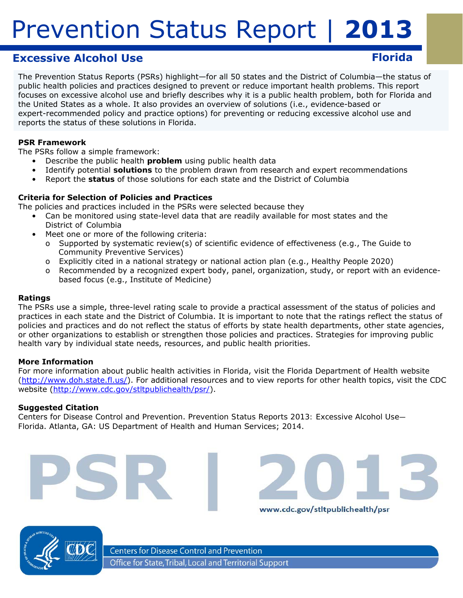# **Excessive Alcohol Use**

The Prevention Status Reports (PSRs) highlight—for all 50 states and the District of Columbia—the status of public health policies and practices designed to prevent or reduce important health problems. This report focuses on excessive alcohol use and briefly describes why it is a public health problem, both for Florida and the United States as a whole. It also provides an overview of solutions (i.e., evidence-based or expert-recommended policy and practice options) for preventing or reducing excessive alcohol use and reports the status of these solutions in Florida.

## **PSR Framework**

The PSRs follow a simple framework:

- Describe the public health *problem* using public health data
	- Identify potential *solutions* to the problem drawn from research and expert recommendations
- • Report the *status* of those solutions for each state and the District of Columbia

## **Criteria for Selection of Policies and Practices**

The policies and practices included in the PSRs were selected because they

- Can be monitored using state-level data that are readily available for most states and the District of Columbia
	- Meet one or more of the following criteria:
		- o Supported by systematic review(s) of scientific evidence of effectiveness (e.g., *The Guide to Community Preventive Services*)
		- o Explicitly cited in a national strategy or national action plan (e.g., *Healthy People 2020*)
		- o Recommended by a recognized expert body, panel, organization, study, or report with an evidencebased focus (e.g., Institute of Medicine)

### **Ratings**

The PSRs use a simple, three-level rating scale to provide a practical assessment of the status of policies and practices in each state and the District of Columbia. It is important to note that the ratings reflect the *status of policies and practices* and do not reflect the *status of efforts* by state health departments, other state agencies, or other organizations to establish or strengthen those policies and practices. Strategies for improving public health vary by individual state needs, resources, and public health priorities.

### **More Information**

For more information about public health activities in Florida, visit the Florida Department of Health website (http://www.doh.state.fl.us/). For additional resources and to view reports for other health topics, visit the CDC website (http://www.cdc.gov/stltpublichealth/psr/).

www.cdc.gov/stltpublichealth/psr

### **Suggested Citation**

Centers for Disease Control and Prevention. *Prevention Status Reports 2013: Excessive Alcohol Use— Florida*. Atlanta, GA: US Department of Health and Human Services; 2014.



**Centers for Disease Control and Prevention** Office for State, Tribal, Local and Territorial Support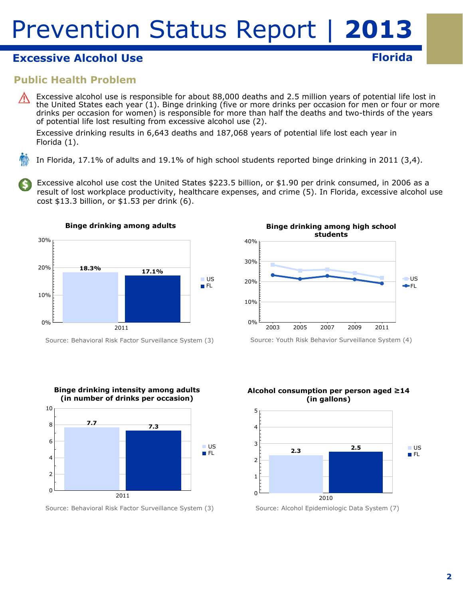# **Excessive Alcohol Use Florida Florida Florida**

## **Public Health Problem**

Excessive alcohol use is responsible for about 88,000 deaths and 2.5 million years of potential life lost in the United States each year (1). Binge drinking (five or more drinks per occasion for men or four or more drinks per occasion for women) is responsible for more than half the deaths and two-thirds of the years of potential life lost resulting from excessive alcohol use (2).

Excessive drinking results in 6,643 deaths and 187,068 years of potential life lost each year in Florida (1).

In Florida, 17.1% of adults and 19.1% of high school students reported binge drinking in 2011 (3,4).

Excessive alcohol use cost the United States \$223.5 billion, or \$1.90 per drink consumed, in 2006 as a result of lost workplace productivity, healthcare expenses, and crime (5). In Florida, excessive alcohol use cost \$13.3 billion, or \$1.53 per drink (6).



Source: Behavioral Risk Factor Surveillance System (3)



Source: Behavioral Risk Factor Surveillance System (3)



Source: Youth Risk Behavior Surveillance System (4)





### **2**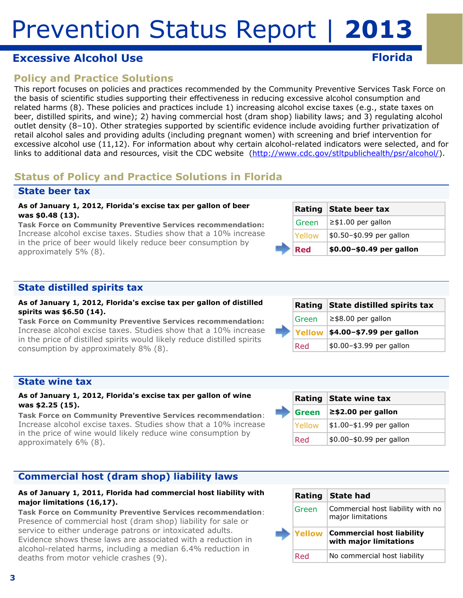# **Excessive Alcohol Use Florida Florida Florida**

# **Policy and Practice Solutions**

This report focuses on policies and practices recommended by the Community Preventive Services Task Force on the basis of scientific studies supporting their effectiveness in reducing excessive alcohol consumption and related harms (8). These policies and practices include 1) increasing alcohol excise taxes (e.g., state taxes on beer, distilled spirits, and wine); 2) having commercial host (dram shop) liability laws; and 3) regulating alcohol outlet density (8–10). Other strategies supported by scientific evidence include avoiding further privatization of retail alcohol sales and providing adults (including pregnant women) with screening and brief intervention for excessive alcohol use (11,12). For information about why certain alcohol-related indicators were selected, and for links to additional data and resources, visit the CDC website (http://www.cdc.gov/stltpublichealth/psr/alcohol/).

# **Status of Policy and Practice Solutions in Florida**

## **State beer tax**

### **As of January 1, 2012, Florida's excise tax per gallon of beer was \$0.48 (13).**

*Task Force on Community Preventive Services recommendation:*  Increase alcohol excise taxes. Studies show that a 10% increase in the price of beer would likely reduce beer consumption by approximately 5% (8).

| Red           | \$0.00-\$0.49 per gallon |
|---------------|--------------------------|
| <b>Yellow</b> | \$0.50-\$0.99 per gallon |
| Green         | $\geq$ \$1.00 per gallon |
|               | Rating State beer tax    |

## **State distilled spirits tax**

#### **As of January 1, 2012, Florida's excise tax per gallon of distilled spirits was \$6.50 (14).**

*Task Force on Community Preventive Services recommendation:*  Increase alcohol excise taxes. Studies show that a 10% increase in the price of distilled spirits would likely reduce distilled spirits consumption by approximately 8% (8).

|  |       | Rating State distilled spirits tax |
|--|-------|------------------------------------|
|  | Green | $\ge$ \$8.00 per gallon            |
|  |       | Yellow   \$4.00-\$7.99 per gallon  |
|  | Red   | \$0.00-\$3.99 per gallon           |

**Rating State wine tax Green ≥\$2.00 per gallon**   $Yellow$   $|$1.00-$1.99$  per gallon  $Red$  \$0.00-\$0.99 per gallon

## **State wine tax**

### **As of January 1, 2012, Florida's excise tax per gallon of wine was \$2.25 (15).**

*Task Force on Community Preventive Services recommendation*: Increase alcohol excise taxes. Studies show that a 10% increase in the price of wine would likely reduce wine consumption by approximately 6% (8).

## **Commercial host (dram shop) liability laws**

### **As of January 1, 2011, Florida had commercial host liability with major limitations (16,17).**

*Task Force on Community Preventive Services recommendation*: Presence of commercial host (dram shop) liability for sale or service to either underage patrons or intoxicated adults. Evidence shows these laws are associated with a reduction in alcohol-related harms, including a median 6.4% reduction in deaths from motor vehicle crashes (9).

| Rating | <b>State had</b>                                           |
|--------|------------------------------------------------------------|
| Green  | Commercial host liability with no<br>major limitations     |
| Yellow | <b>Commercial host liability</b><br>with major limitations |
| Dad    | No commercial host liability                               |

|         | Rating State distilled spirits tax |
|---------|------------------------------------|
| l Green | $\ge$ \$8.00 per gallon            |
|         | Yellow \$4.00-\$7.99 per gallon    |
| Red     | \$0.00-\$3.99 per gallon           |
|         |                                    |

|  | Rating        | <b>State had</b>                                           |
|--|---------------|------------------------------------------------------------|
|  | Green         | Commercial host liability with no<br>major limitations     |
|  | <b>Yellow</b> | <b>Commercial host liability</b><br>with major limitations |
|  | Red           | No commercial host liability                               |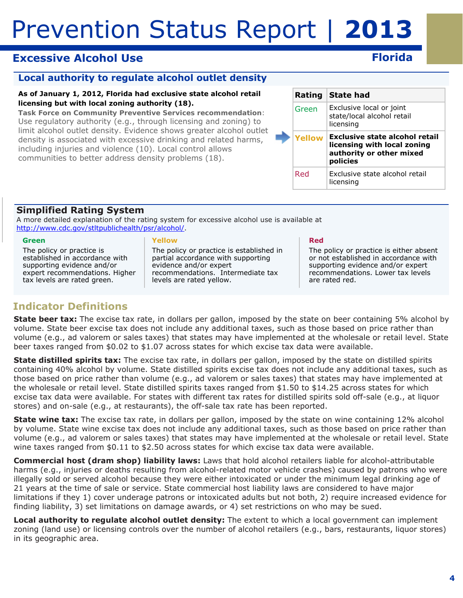# **Excessive Alcohol Use**

## **Local authority to regulate alcohol outlet density**

### **As of January 1, 2012, Florida had exclusive state alcohol retail licensing but with local zoning authority (18).**

*Task Force on Community Preventive Services recommendation*: Use regulatory authority (e.g., through licensing and zoning) to limit alcohol outlet density. Evidence shows greater alcohol outlet density is associated with excessive drinking and related harms, including injuries and violence (10). Local control allows communities to better address density problems (18).

|  |        | Rating State had                                                                                      |
|--|--------|-------------------------------------------------------------------------------------------------------|
|  | Green  | Exclusive local or joint<br>state/local alcohol retail<br>licensing                                   |
|  | Yellow | Exclusive state alcohol retail<br>licensing with local zoning<br>authority or other mixed<br>policies |
|  | Red    | Exclusive state alcohol retail<br>licensing                                                           |

## **Simplified Rating System**

A more detailed explanation of the rating system for excessive alcohol use is available at http://www.cdc.gov/stltpublichealth/psr/alcohol/.

#### **Green**

The policy or practice is established in accordance with supporting evidence and/or expert recommendations. Higher tax levels are rated green.

#### **Yellow**

The policy or practice is established in partial accordance with supporting evidence and/or expert recommendations. Intermediate tax levels are rated yellow.

#### **Red**

The policy or practice is either absent or not established in accordance with supporting evidence and/or expert recommendations. Lower tax levels are rated red.

# **Indicator Definitions**

**State beer tax:** The excise tax rate, in dollars per gallon, imposed by the state on beer containing 5% alcohol by volume. State beer excise tax does not include any additional taxes, such as those based on price rather than volume (e.g., ad valorem or sales taxes) that states may have implemented at the wholesale or retail level. State beer taxes ranged from \$0.02 to \$1.07 across states for which excise tax data were available.

**State distilled spirits tax:** The excise tax rate, in dollars per gallon, imposed by the state on distilled spirits containing 40% alcohol by volume. State distilled spirits excise tax does not include any additional taxes, such as those based on price rather than volume (e.g., ad valorem or sales taxes) that states may have implemented at the wholesale or retail level. State distilled spirits taxes ranged from \$1.50 to \$14.25 across states for which excise tax data were available. For states with different tax rates for distilled spirits sold off-sale (e.g., at liquor stores) and on-sale (e.g., at restaurants), the off-sale tax rate has been reported.

**State wine tax:** The excise tax rate, in dollars per gallon, imposed by the state on wine containing 12% alcohol by volume. State wine excise tax does not include any additional taxes, such as those based on price rather than volume (e.g., ad valorem or sales taxes) that states may have implemented at the wholesale or retail level. State wine taxes ranged from \$0.11 to \$2.50 across states for which excise tax data were available.

**Commercial host (dram shop) liability laws:** Laws that hold alcohol retailers liable for alcohol-attributable harms (e.g., injuries or deaths resulting from alcohol-related motor vehicle crashes) caused by patrons who were illegally sold or served alcohol because they were either intoxicated or under the minimum legal drinking age of 21 years at the time of sale or service. State commercial host liability laws are considered to have major limitations if they 1) cover underage patrons or intoxicated adults but not both, 2) require increased evidence for finding liability, 3) set limitations on damage awards, or 4) set restrictions on who may be sued.

 in its geographic area. **Local authority to regulate alcohol outlet density:** The extent to which a local government can implement zoning (land use) or licensing controls over the number of alcohol retailers (e.g., bars, restaurants, liquor stores)